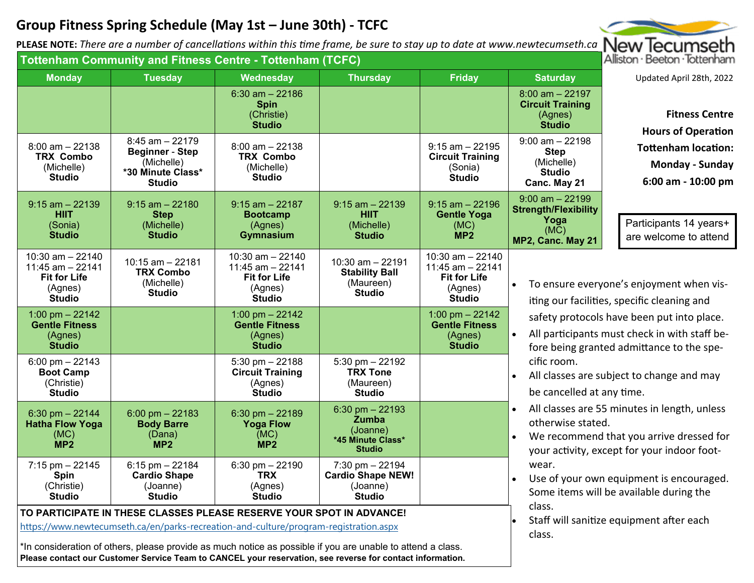## **Group Fitness Spring Schedule (May 1st – June 30th) ‐ TCFC**

**PLEASE NOTE:** *There are a number of cancella Ɵons within this Ɵme frame, be sure to stay up to date at www.newtecumseth.ca*

| Tottenham Community and Fitness Centre - Tottenham (TCFC)                                                                                                                                                                                                                                                                                                                                 | Alliston · Beeton · lottenham                                                              |                                                                               |                                                                                             |                                                                                                                                                                                                                                                                                                                                                                                                                                                                                                                                                                                                                        |                                                                     |
|-------------------------------------------------------------------------------------------------------------------------------------------------------------------------------------------------------------------------------------------------------------------------------------------------------------------------------------------------------------------------------------------|--------------------------------------------------------------------------------------------|-------------------------------------------------------------------------------|---------------------------------------------------------------------------------------------|------------------------------------------------------------------------------------------------------------------------------------------------------------------------------------------------------------------------------------------------------------------------------------------------------------------------------------------------------------------------------------------------------------------------------------------------------------------------------------------------------------------------------------------------------------------------------------------------------------------------|---------------------------------------------------------------------|
| <b>Monday</b><br><b>Tuesday</b>                                                                                                                                                                                                                                                                                                                                                           | Wednesday                                                                                  | <b>Thursday</b>                                                               | <b>Friday</b>                                                                               | <b>Saturday</b>                                                                                                                                                                                                                                                                                                                                                                                                                                                                                                                                                                                                        | Updated April 28th, 2022                                            |
| $8:45$ am $-22179$                                                                                                                                                                                                                                                                                                                                                                        | $6:30$ am $-22186$<br><b>Spin</b><br>(Christie)<br><b>Studio</b>                           |                                                                               |                                                                                             | $8:00$ am $-22197$<br><b>Circuit Training</b><br>(Agnes)<br><b>Studio</b><br>$9:00$ am $-22198$                                                                                                                                                                                                                                                                                                                                                                                                                                                                                                                        | <b>Fitness Centre</b><br><b>Hours of Operation</b>                  |
| $8:00$ am $-22138$<br><b>Beginner - Step</b><br><b>TRX Combo</b><br>(Michelle)<br>(Michelle)<br>*30 Minute Class*<br><b>Studio</b><br><b>Studio</b>                                                                                                                                                                                                                                       | $8:00$ am $-22138$<br><b>TRX Combo</b><br>(Michelle)<br><b>Studio</b>                      |                                                                               | $9:15$ am $-22195$<br><b>Circuit Training</b><br>(Sonia)<br><b>Studio</b>                   | <b>Step</b><br>(Michelle)<br><b>Studio</b><br>Canc. May 21                                                                                                                                                                                                                                                                                                                                                                                                                                                                                                                                                             | <b>Tottenham location:</b><br>Monday - Sunday<br>6:00 am - 10:00 pm |
| $9:15$ am $-22139$<br>$9:15$ am $-22180$<br><b>HIIT</b><br><b>Step</b><br>(Sonia)<br>(Michelle)<br><b>Studio</b><br><b>Studio</b>                                                                                                                                                                                                                                                         | $9:15$ am $-22187$<br><b>Bootcamp</b><br>(Agnes)<br><b>Gymnasium</b>                       | $9:15$ am $-22139$<br><b>HIIT</b><br>(Michelle)<br><b>Studio</b>              | $9:15$ am $-22196$<br><b>Gentle Yoga</b><br>(MC)<br>MP <sub>2</sub>                         | $9:00$ am $-22199$<br><b>Strength/Flexibility</b><br>Yoga<br>(MC)<br>MP2, Canc. May 21                                                                                                                                                                                                                                                                                                                                                                                                                                                                                                                                 | Participants 14 years+<br>are welcome to attend                     |
| $10:30$ am $- 22140$<br>$10:15$ am $-22181$<br>$11:45$ am $-22141$<br><b>TRX Combo</b><br><b>Fit for Life</b><br>(Michelle)<br>(Agnes)<br><b>Studio</b><br><b>Studio</b>                                                                                                                                                                                                                  | $10:30$ am $-22140$<br>11:45 am - 22141<br><b>Fit for Life</b><br>(Agnes)<br><b>Studio</b> | $10:30$ am $-22191$<br><b>Stability Ball</b><br>(Maureen)<br><b>Studio</b>    | $10:30$ am $- 22140$<br>11:45 am - 22141<br><b>Fit for Life</b><br>(Agnes)<br><b>Studio</b> | To ensure everyone's enjoyment when vis-<br>iting our facilities, specific cleaning and<br>safety protocols have been put into place.<br>All participants must check in with staff be-<br>fore being granted admittance to the spe-<br>cific room.<br>All classes are subject to change and may<br>be cancelled at any time.<br>All classes are 55 minutes in length, unless<br>$\bullet$<br>otherwise stated.<br>We recommend that you arrive dressed for<br>your activity, except for your indoor foot-<br>wear.<br>Use of your own equipment is encouraged.<br>$\bullet$<br>Some items will be available during the |                                                                     |
| 1:00 pm $- 22142$<br><b>Gentle Fitness</b><br>(Agnes)<br><b>Studio</b>                                                                                                                                                                                                                                                                                                                    | 1:00 pm $-22142$<br><b>Gentle Fitness</b><br>(Agnes)<br><b>Studio</b>                      |                                                                               | 1:00 pm $- 22142$<br><b>Gentle Fitness</b><br>(Agnes)<br><b>Studio</b>                      |                                                                                                                                                                                                                                                                                                                                                                                                                                                                                                                                                                                                                        |                                                                     |
| $6:00 \text{ pm} - 22143$<br><b>Boot Camp</b><br>(Christie)<br><b>Studio</b>                                                                                                                                                                                                                                                                                                              | $5:30$ pm $-22188$<br><b>Circuit Training</b><br>(Agnes)<br><b>Studio</b>                  | $5:30$ pm $-22192$<br><b>TRX Tone</b><br>(Maureen)<br><b>Studio</b>           |                                                                                             |                                                                                                                                                                                                                                                                                                                                                                                                                                                                                                                                                                                                                        |                                                                     |
| $6:00$ pm $-22183$<br>$6:30$ pm $-22144$<br><b>Hatha Flow Yoga</b><br><b>Body Barre</b><br>(MC)<br>(Dana)<br>MP <sub>2</sub><br>MP <sub>2</sub>                                                                                                                                                                                                                                           | $6:30$ pm $-22189$<br><b>Yoga Flow</b><br>(MC)<br>MP <sub>2</sub>                          | $6:30$ pm $-22193$<br>Zumba<br>(Joanne)<br>*45 Minute Class*<br><b>Studio</b> |                                                                                             |                                                                                                                                                                                                                                                                                                                                                                                                                                                                                                                                                                                                                        |                                                                     |
| $7:15$ pm $-22145$<br>$6:15$ pm $-22184$<br><b>Cardio Shape</b><br><b>Spin</b><br>(Christie)<br>(Joanne)<br><b>Studio</b><br><b>Studio</b>                                                                                                                                                                                                                                                | $6:30$ pm $-22190$<br><b>TRX</b><br>(Agnes)<br><b>Studio</b>                               | $7:30$ pm $-22194$<br><b>Cardio Shape NEW!</b><br>(Joanne)<br><b>Studio</b>   |                                                                                             |                                                                                                                                                                                                                                                                                                                                                                                                                                                                                                                                                                                                                        |                                                                     |
| TO PARTICIPATE IN THESE CLASSES PLEASE RESERVE YOUR SPOT IN ADVANCE!<br>https://www.newtecumseth.ca/en/parks-recreation-and-culture/program-registration.aspx<br>*In consideration of others, please provide as much notice as possible if you are unable to attend a class.<br>Please contact our Customer Service Team to CANCEL your reservation, see reverse for contact information. | class.<br>Staff will sanitize equipment after each<br>class.                               |                                                                               |                                                                                             |                                                                                                                                                                                                                                                                                                                                                                                                                                                                                                                                                                                                                        |                                                                     |